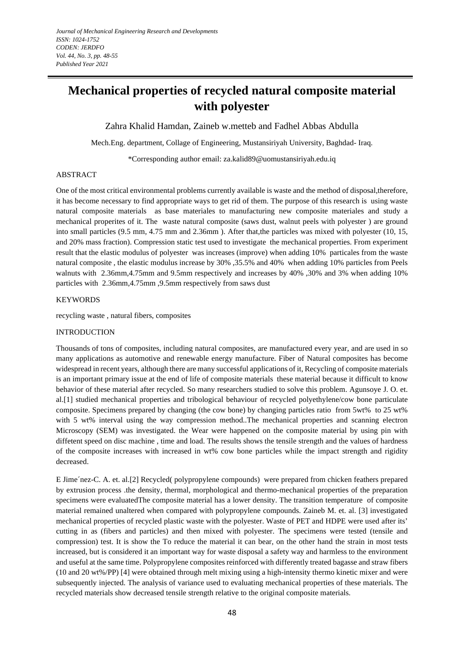# **Mechanical properties of recycled natural composite material with polyester**

Zahra Khalid Hamdan, Zaineb w.metteb and Fadhel Abbas Abdulla

Mech.Eng. department, Collage of Engineering, Mustansiriyah University, Baghdad- Iraq.

\*Corresponding author email: [za.kalid89@uomustansiriyah.edu.iq](mailto:za.kalid89@uomustansiriyah.edu.iq)

# ABSTRACT

One of the most critical environmental problems currently available is waste and the method of disposal,therefore, it has become necessary to find appropriate ways to get rid of them. The purpose of this research is using waste natural composite materials as base materiales to manufacturing new composite materiales and study a mechanical properites of it. The waste natural composite (saws dust, walnut peels with polyester ) are ground into small particles (9.5 mm, 4.75 mm and 2.36mm ). After that,the particles was mixed with polyester (10, 15, and 20% mass fraction). Compression static test used to investigate the mechanical properties. From experiment result that the elastic modulus of polyester was increases (improve) when adding 10% particales from the waste natural composite , the elastic modulus increase by 30% ,35.5% and 40% when adding 10% particles from Peels walnuts with 2.36mm,4.75mm and 9.5mm respectively and increases by 40% ,30% and 3% when adding 10% particles with 2.36mm,4.75mm ,9.5mm respectively from saws dust

### KEYWORDS

recycling waste , natural fibers, composites

#### INTRODUCTION

Thousands of tons of composites, including natural composites, are manufactured every year, and are used in so many applications as automotive and renewable energy manufacture. Fiber of Natural composites has become widespread in recent years, although there are many successful applications of it, Recycling of composite materials is an important primary issue at the end of life of composite materials these material because it difficult to know behavior of these material after recycled. So many researchers studied to solve this problem. Agunsoye J. O. et. al.[1] studied mechanical properties and tribological behaviour of recycled polyethylene/cow bone particulate composite. Specimens prepared by changing (the cow bone) by changing particles ratio from 5wt% to 25 wt% with 5 wt% interval using the way compression method..The mechanical properties and scanning electron Microscopy (SEM) was investigated. the Wear were happened on the composite material by using pin with diffetent speed on disc machine , time and load. The results shows the tensile strength and the values of hardness of the composite increases with increased in wt% cow bone particles while the impact strength and rigidity decreased.

E Jime´nez-C. A. et. al.[2] Recycled( polypropylene compounds) were prepared from chicken feathers prepared by extrusion process .the density, thermal, morphological and thermo-mechanical properties of the preparation specimens were evaluatedThe composite material has a lower density. The transition temperature of composite material remained unaltered when compared with polypropylene compounds. Zaineb M. et. al. [3] investigated mechanical properties of recycled plastic waste with the polyester. Waste of PET and HDPE were used after its' cutting in as (fibers and particles) and then mixed with polyester. The specimens were tested (tensile and compression) test. It is show the To reduce the material it can bear, on the other hand the strain in most tests increased, but is considered it an important way for waste disposal a safety way and harmless to the environment and useful at the same time. Polypropylene composites reinforced with differently treated bagasse and straw fibers (10 and 20 wt%/PP) [4] were obtained through melt mixing using a high-intensity thermo kinetic mixer and were subsequently injected. The analysis of variance used to evaluating mechanical properties of these materials. The recycled materials show decreased tensile strength relative to the original composite materials.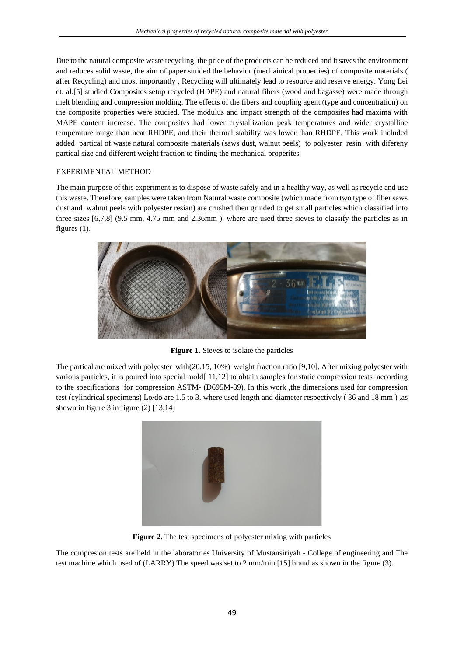Due to the natural composite waste recycling, the price of the products can be reduced and it saves the environment and reduces solid waste, the aim of paper stuided the behavior (mechainical properties) of composite materials ( after Recycling) and most importantly , Recycling will ultimately lead to resource and reserve energy. Yong Lei et. al.[5] studied Composites setup recycled (HDPE) and natural fibers (wood and bagasse) were made through melt blending and compression molding. The effects of the fibers and coupling agent (type and concentration) on the composite properties were studied. The modulus and impact strength of the composites had maxima with MAPE content increase. The composites had lower crystallization peak temperatures and wider crystalline temperature range than neat RHDPE, and their thermal stability was lower than RHDPE. This work included added partical of waste natural composite materials (saws dust, walnut peels) to polyester resin with difereny partical size and different weight fraction to finding the mechanical properites

### EXPERIMENTAL METHOD

The main purpose of this experiment is to dispose of waste safely and in a healthy way, as well as recycle and use this waste. Therefore, samples were taken from Natural waste composite (which made from two type of fiber saws dust and walnut peels with polyester resian) are crushed then grinded to get small particles which classified into three sizes [6,7,8] (9.5 mm, 4.75 mm and 2.36mm ). where are used three sieves to classify the particles as in figures (1).



**Figure 1.** Sieves to isolate the particles

The partical are mixed with polyester with(20,15, 10%) weight fraction ratio [9,10]. After mixing polyester with various particles, it is poured into special mold[ 11,12] to obtain samples for static compression tests according to the specifications for compression ASTM- (D695M-89). In this work ,the dimensions used for compression test (cylindrical specimens) Lo/do are 1.5 to 3. where used length and diameter respectively ( 36 and 18 mm ) .as shown in figure 3 in figure  $(2)$  [13,14]



**Figure 2.** The test specimens of polyester mixing with particles

The compresion tests are held in the laboratories University of Mustansiriyah - College of engineering and The test machine which used of (LARRY) The speed was set to 2 mm/min [15] brand as shown in the figure (3).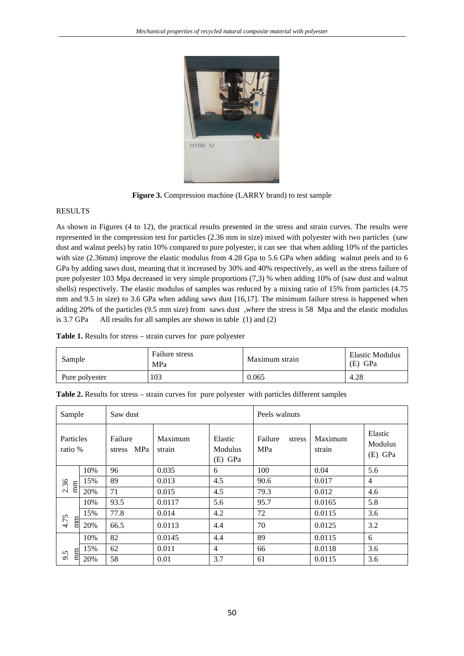

**Figure 3.** Compression machine (LARRY brand) to test sample

### RESULTS

As shown in Figures (4 to 12), the practical results presented in the stress and strain curves. The results were represented in the compression test for particles (2.36 mm in size) mixed with polyester with two particles (saw dust and walnut peels) by ratio 10% compared to pure polyester, it can see that when adding 10% of the particles with size (2.36mm) improve the elastic modulus from 4.28 Gpa to 5.6 GPa when adding walnut peels and to 6 GPa by adding saws dust, meaning that it increased by 30% and 40% respectively, as well as the stress failure of pure polyester 103 Mpa decreased in very simple proportions (7,3) % when adding 10% of (saw dust and walnut shells) respectively. The elastic modulus of samples was reduced by a mixing ratio of 15% from particles (4.75 mm and 9.5 in size) to 3.6 GPa when adding saws dust [16,17]. The minimum failure stress is happened when adding 20% of the particles (9.5 mm size) from saws dust ,where the stress is 58 Mpa and the elastic modulus is 3.7 GPa All results for all samples are shown in table (1) and (2)

|  |  |  |  |  | Table 1. Results for stress - strain curves for pure polyester |
|--|--|--|--|--|----------------------------------------------------------------|
|--|--|--|--|--|----------------------------------------------------------------|

| Sample         | Failure stress<br>MPa | Maximum strain | Elastic Modulus<br>(E) GPa |
|----------------|-----------------------|----------------|----------------------------|
| Pure polyester | 103                   | 0.065          | 4.28                       |

| Sample                 |     | Saw dust                 |                   |                                 | Peels walnuts            |                   |                                 |
|------------------------|-----|--------------------------|-------------------|---------------------------------|--------------------------|-------------------|---------------------------------|
| Particles<br>ratio %   |     | Failure<br>MPa<br>stress | Maximum<br>strain | Elastic<br>Modulus<br>$(E)$ GPa | Failure<br>stress<br>MPa | Maximum<br>strain | Elastic<br>Modulus<br>$(E)$ GPa |
| 2.36<br>m <sub>m</sub> | 10% | 96                       | 0.035             | 6                               | 100                      | 0.04              | 5.6                             |
|                        | 15% | 89                       | 0.013             | 4.5                             | 90.6                     | 0.017             | $\overline{4}$                  |
|                        | 20% | 71                       | 0.015             | 4.5                             | 79.3                     | 0.012             | 4.6                             |
| 4.75<br>mm             | 10% | 93.5                     | 0.0117            | 5.6                             | 95.7                     | 0.0165            | 5.8                             |
|                        | 15% | 77.8                     | 0.014             | 4.2                             | 72                       | 0.0115            | 3.6                             |
|                        | 20% | 66.5                     | 0.0113            | 4.4                             | 70                       | 0.0125            | 3.2                             |
| mm<br>6.6              | 10% | 82                       | 0.0145            | 4.4                             | 89                       | 0.0115            | 6                               |
|                        | 15% | 62                       | 0.011             | 4                               | 66                       | 0.0118            | 3.6                             |
|                        | 20% | 58                       | 0.01              | 3.7                             | 61                       | 0.0115            | 3.6                             |

**Table 2.** Results for stress – strain curves for pure polyester with particles different samples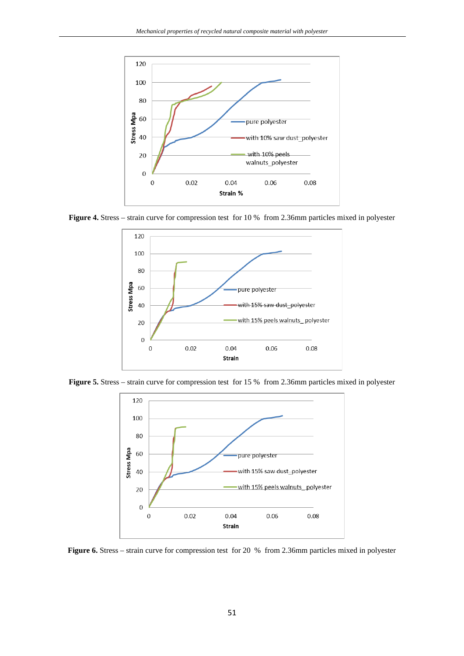

**Figure 4.** Stress – strain curve for compression test for 10 % from 2.36mm particles mixed in polyester



**Figure 5.** Stress – strain curve for compression test for 15 % from 2.36mm particles mixed in polyester



**Figure 6.** Stress – strain curve for compression test for 20 % from 2.36mm particles mixed in polyester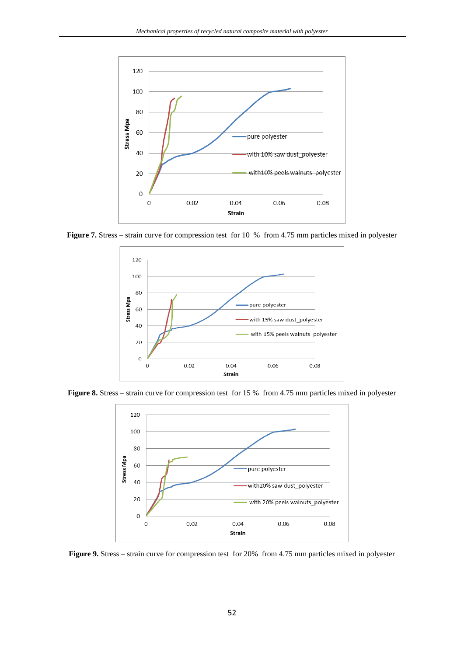

**Figure 7.** Stress – strain curve for compression test for 10 % from 4.75 mm particles mixed in polyester



**Figure 8.** Stress – strain curve for compression test for 15 % from 4.75 mm particles mixed in polyester



**Figure 9.** Stress – strain curve for compression test for 20% from 4.75 mm particles mixed in polyester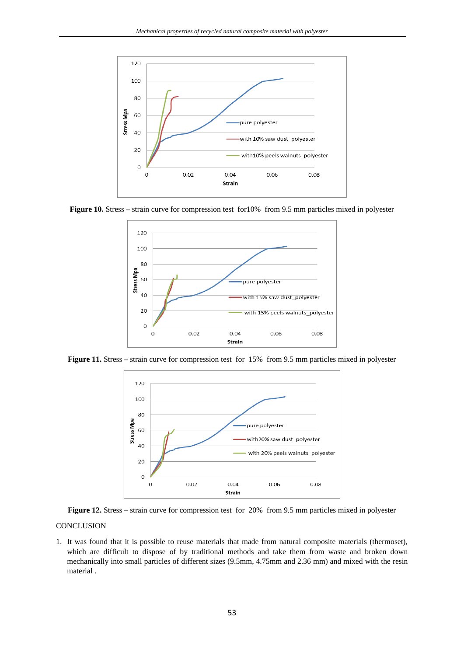

**Figure 10.** Stress – strain curve for compression test for10% from 9.5 mm particles mixed in polyester



**Figure 11.** Stress – strain curve for compression test for 15% from 9.5 mm particles mixed in polyester



**Figure 12.** Stress – strain curve for compression test for 20% from 9.5 mm particles mixed in polyester

# **CONCLUSION**

1. It was found that it is possible to reuse materials that made from natural composite materials (thermoset), which are difficult to dispose of by traditional methods and take them from waste and broken down mechanically into small particles of different sizes (9.5mm, 4.75mm and 2.36 mm) and mixed with the resin material .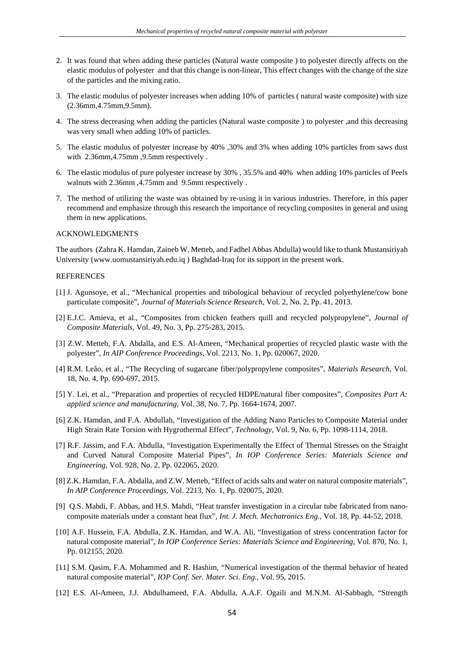- 2. It was found that when adding these particles (Natural waste composite ) to polyester directly affects on the elastic modulus of polyester and that this change is non-linear, This effect changes with the change of the size of the particles and the mixing ratio.
- 3. The elastic modulus of polyester increases when adding 10% of particles ( natural waste composite) with size (2.36mm,4.75mm,9.5mm).
- 4. The stress decreasing when adding the particles (Natural waste composite ) to polyester ,and this decreasing was very small when adding 10% of particles.
- 5. The elastic modulus of polyester increase by 40% ,30% and 3% when adding 10% particles from saws dust with 2.36mm,4.75mm ,9.5mm respectively .
- 6. The elastic modulus of pure polyester increase by 30% , 35.5% and 40% when adding 10% particles of Peels walnuts with 2.36mm ,4.75mm and 9.5mm respectively .
- 7. The method of utilizing the waste was obtained by re-using it in various industries. Therefore, in this paper recommend and emphasize through this research the importance of recycling composites in general and using them in new applications.

#### ACKNOWLEDGMENTS

The authors (Zahra K. Hamdan, Zaineb W. Metteb, and Fadhel Abbas Abdulla) would like to thank Mustansiriyah University [\(www.uomustansiriyah.edu.iq](http://www.uomustansiriyah.edu.iq/) ) Baghdad-Iraq for its support in the present work.

### **REFERENCES**

- [1] J. Agunsoye, et al., "Mechanical properties and tribological behaviour of recycled polyethylene/cow bone particulate composite", *Journal of Materials Science Research,* Vol. 2, No. 2, Pp. 41, 2013.
- [2] E.J.C. Amieva, et al., "Composites from chicken feathers quill and recycled polypropylene", *Journal of Composite Materials*, Vol. 49, No. 3, Pp. 275-283, 2015.
- [3] Z.W. Metteb, F.A. Abdalla, and E.S. Al-Ameen, "Mechanical properties of recycled plastic waste with the polyester", *In AIP Conference Proceedings*, Vol. 2213, No. 1, Pp. 020067, 2020.
- [4] R.M. Leão, et al., "The Recycling of sugarcane fiber/polypropylene composites", *Materials Research*, Vol. 18, No. 4, Pp. 690-697, 2015.
- [5] Y. Lei, et al., "Preparation and properties of recycled HDPE/natural fiber composites", *Composites Part A: applied science and manufacturing*, Vol. 38, No. 7, Pp. 1664-1674, 2007.
- [6] Z.K. Hamdan, and F.A. Abdullah, "Investigation of the Adding Nano Particles to Composite Material under High Strain Rate Torsion with Hygrothermal Effect", *Technology,* Vol. 9, No. 6, Pp. 1098-1114, 2018.
- [7] R.F. Jassim, and F.A. Abdulla, "Investigation Experimentally the Effect of Thermal Stresses on the Straight and Curved Natural Composite Material Pipes", *In IOP Conference Series: Materials Science and Engineering,* Vol. 928, No. 2, Pp. 022065, 2020.
- [8] Z.K. Hamdan, F.A. Abdalla, and Z.W. Metteb, "Effect of acids salts and water on natural composite materials", *In AIP Conference Proceedings,* Vol. 2213, No. 1, Pp. 020075, 2020.
- [9] Q.S. Mahdi, F. Abbas, and H.S. Mahdi, "Heat transfer investigation in a circular tube fabricated from nanocomposite materials under a constant heat flux", *Int. J. Mech. Mechatronics Eng.,* Vol. 18, Pp. 44-52, 2018.
- [10] A.F. Hussein, F.A. Abdulla, Z.K. Hamdan, and W.A. Ali, "Investigation of stress concentration factor for natural composite material", *In IOP Conference Series: Materials Science and Engineering,* Vol. 870, No. 1, Pp. 012155, 2020.
- [11] S.M. Qasim, F.A. Mohammed and R. Hashim, "Numerical investigation of the thermal behavior of heated natural composite material", *IOP Conf. Ser. Mater. Sci. Eng.,* Vol. 95, 2015.
- [12] E.S. Al-Ameen, J.J. Abdulhameed, F.A. Abdulla, A.A.F. Ogaili and M.N.M. Al-Sabbagh, "Strength